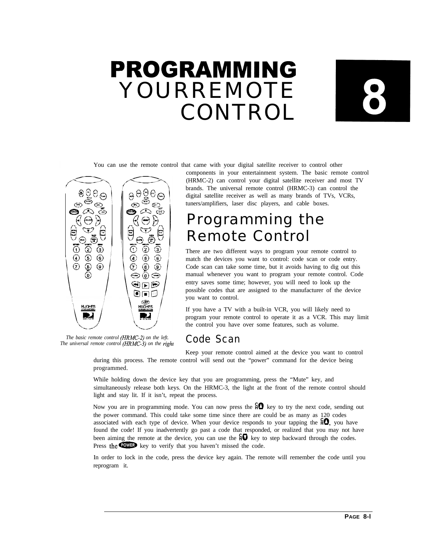# PROGRAMMING YOURREMOTE CONTROL



You can use the remote control that came with your digital satellite receiver to control other



*The basic remote control (HRMC-2) on the left. The universal remote control (HRMC-3) on the righl*

components in your entertainment system. The basic remote control (HRMC-2) can control your digital satellite receiver and most TV brands. The universal remote control (HRMC-3) can control the digital satellite receiver as well as many brands of TVs, VCRs, tuners/amplifiers, laser disc players, and cable boxes.

## Programming the Remote Control

There are two different ways to program your remote control to match the devices you want to control: code scan or code entry. Code scan can take some time, but it avoids having to dig out this manual whenever you want to program your remote control. Code entry saves some time; however, you will need to look up the possible codes that are assigned to the manufacturer of the device you want to control.

If you have a TV with a built-in VCR, you will likely need to program your remote control to operate it as a VCR. This may limit the control you have over some features, such as volume.

## Code Scan

Keep your remote control aimed at the device you want to control during this process. The remote control will send out the "power" command for the device being programmed.

While holding down the device key that you are programming, press the "Mute" key, and simultaneously release both keys. On the HRMC-3, the light at the front of the remote control should light and stay lit. If it isn't, repeat the process.

Now you are in programming mode. You can now press the  $\mathfrak{g} \mathbf{0}$  key to try the next code, sending out the power command. This could take some time since there are could be as many as 120 codes associated with each type of device. When your device responds to your tapping the  $\mathbf{Q}$ , you have found the code! If you inadvertently go past a code that responded, or realized that you may not have been aiming the remote at the device, you can use the  $\frac{2}{2}$  key to step backward through the codes.<br>Press the **COWED** key to verify that you haven't missed the code.

In order to lock in the code, press the device key again. The remote will remember the code until you reprogram it.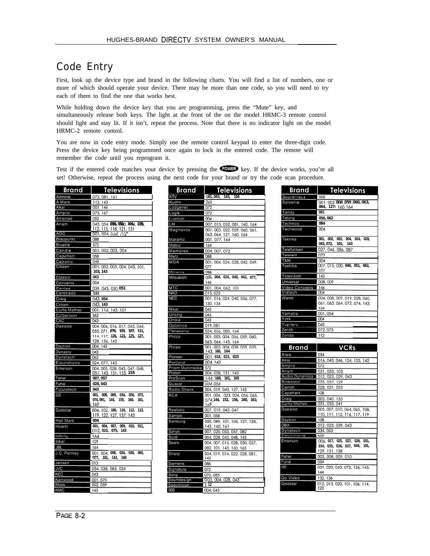## Code Entry

First, look up the device type and brand in the following charts. You will find a list of numbers, one or more of which should operate your device. There may be more than one code, so you will need to try each of them to find the one that works best.

While holding down the device key that you are programming, press the "Mute" key, and simultaneously release both keys. The light at the front of the on the model HRMC-3 remote control should light and stay lit. If it isn't, repeat the process. Note that there is no indicator light on the model HRMC-2 remote control.

You are now in code entry mode. Simply use the remote control keypad to enter the three-digit code. Press the device key being programmed once again to lock in the entered code. The remote will remember the code until you reprogram it.

Test if the entered code matches your device by pressing the COMB key. If the device works, you're all set! Otherwise, repeat the process using the next code for your brand or try the code scan procedure.

| Brand                | Televisions                                                               |
|----------------------|---------------------------------------------------------------------------|
| Admiral              | 072, 081, 161                                                             |
| A Mark               | 112, 143                                                                  |
| Akai                 | 001, 146                                                                  |
| Ampro                | 073, 167                                                                  |
| Amstrad              | 052                                                                       |
| Anam                 | 043, 054, 056, 0880, 1094, 108,<br>112, 115, 118, 121, 131                |
| <b>AOC</b>           | 001, 004, 0Jo; ተነ2 <sup>0</sup>                                           |
| Blaupunkt            | 088                                                                       |
| Bruette              | 572                                                                       |
| Candle               | 001, 002, 003, 004                                                        |
| Capehart             | 058                                                                       |
| Cetronic             | 043                                                                       |
| Citizen              | 001, 002, 003, 004, 043, 101,<br>103, 143                                 |
| Classic              | 043                                                                       |
| Concerto             | 004                                                                       |
| Contec               | 039, 043, 050, 051                                                        |
| Coronado             | 1143                                                                      |
| Craig                | 043, 054                                                                  |
| Crown                | 043, 143                                                                  |
| <b>Curtis Mathes</b> | 001, 116, 143, 101                                                        |
| Culbertson           | 352                                                                       |
| CXC                  | 043                                                                       |
| Daewoo               | 004, 006, 016, 017, 043, 044,                                             |
|                      | 055, 071, 076, 103, 107, 111,                                             |
|                      | 114, 117, 120, 123, 125, 127,                                             |
| Daytron              | 128, 136, 143<br>004, 143                                                 |
| Dynasty              | 043                                                                       |
| Dynatech             | 062                                                                       |
| Electrohome          | 024, 077, 143                                                             |
| Emerson              | 004, 005, 028, 043, 047, 048,                                             |
|                      | 051, 143, 151, 153, 155                                                   |
| Fisher               | 007, 057                                                                  |
| Funai                | 028, 043                                                                  |
| Futuretech           | 043<br>034. 056.                                                          |
| <b>GE</b>            | 001, 008, 009,<br>073.<br>074, 091, 144,<br>155,<br>160,<br>161,<br>I 165 |
| Goldstar             | 004, 102, 106,<br>110.<br>112,<br>113.<br>119, 122, 127, 137, 143         |
| <b>Hall Mark</b>     | 004                                                                       |
| Hitachi              | 001,<br>004, 007,<br>009. 010.<br>011.<br>C12, 023, 075, 143              |
| Infinity             | 1.64                                                                      |
| Inkel                | 129                                                                       |
| <b>JBL</b>           | 164                                                                       |
| J.C. Penney          | 030, 065,<br>001, 004, 008,<br>024,<br>(377, 101, 143,<br>160             |
| Jensen               | 013                                                                       |
| <b>JVC</b>           | 034, 038, 083, 034                                                        |
| KEC                  | 043                                                                       |
| Kenwood              | 001,070                                                                   |
| Kloss                | 002, 059                                                                  |
| KMC                  | 143                                                                       |

**I**

| Brand                    | <u>Televisions</u>                       |
|--------------------------|------------------------------------------|
| KTV                      | 001, 043,<br>143. 154                    |
| Kuehn                    | 265                                      |
| Lodgenet                 | 072                                      |
| Logik                    | 072                                      |
| Luxman                   | 004                                      |
| LXI                      | 007, 015, 052, 081, 160, 164             |
| Magnavox                 | 001, 003, 022, 059, 060, 061,            |
|                          | 063, 064, 127, 160, 164                  |
| Marantz                  | 001, 077, 164                            |
| Matsui                   | 164                                      |
| Memorex                  | 004, 007, 072                            |
| Metz                     | 088                                      |
| MGA                      | 001, 004, 024, 028, 042, 049,            |
|                          | 077                                      |
| Minorva                  | 930                                      |
| Mitsubishi               | Q(31, 004, 024, 040, 042, 077,           |
| MTC                      | 146                                      |
|                          | 001, 004, 062, 101                       |
| <b>NAD</b><br><b>NEC</b> | 015,025<br>001, 016, 024, 040, 056, 077, |
|                          | 130, 134                                 |
| Nikei                    | 043                                      |
| Onking                   | 043                                      |
| Onwa                     | 043                                      |
| Optonica                 | 019,081                                  |
| Panasonic                | 034, 056, 080, 164                       |
| Philco                   | 001, 003, 004, 056, 059, 060,            |
|                          | 063, 064, 143, 164                       |
| Philips                  | 001.003.004.038.059.070.                 |
|                          | 1.43, 160, 164                           |
| Pioneer                  | $O()$ 1, 018, 023, 025                   |
| Portland                 | 004, 143                                 |
| Prism Multimedia 572     |                                          |
| Proton                   | 004, 058, 131, 143                       |
| ProScan                  | 144, 160, 161, 165                       |
| Quasar                   | 034,056                                  |
| Radio Shack              | 004, 019, 043, 127, 143                  |
| <b>RCA</b>               | 001, 004, 023, 024, 056, 065,            |
|                          | 074,144, 152, 156, 160, 161;             |
|                          | 165                                      |
| Realistic                | 007, 019, 043, 047                       |
| Sampo                    | 001,058                                  |
| Samsung                  | 050, 089, 101, 105, 127, 133,            |
|                          | 143, 160, 161                            |
| Sanyo                    | 007, 020, 053, 057, 082                  |
| Scott                    | 004, 028, 043, 048, 143                  |
| Sears                    | 004, 007, 015, 028, 030, 057,            |
|                          | 082, 101, 143, 160, 165                  |
| Sharp                    | 004, 019, 014, 022, 028, 081,<br>143     |
| Siemens                  | 088                                      |
| Signature                | 072                                      |
| Sony                     | 070,085                                  |
| Soundesign               | 003, 004, 028, 043                       |
| Spectricon               | 112                                      |
| SSS                      | 004, 043                                 |

| Brand            | <b>Televisions</b>                                                    |
|------------------|-----------------------------------------------------------------------|
| <b>Supremacy</b> | 002                                                                   |
| Sylvania         | 001.003 004.059.060.063.<br>064, 127: 160, 164                        |
| Tandy            | 081                                                                   |
| Tatung           | 056.062                                                               |
| Technics         | 084                                                                   |
| Techwood         | M                                                                     |
| Teknika          | 001. 002. 003. 004. 024. 028.<br>043, 072, 101, 143                   |
| Telefunken       | 037, 046, 086, 087                                                    |
| Telerent         | 1072                                                                  |
| <b>TMK</b>       | 004                                                                   |
| Toshiba          | 007.015.030.040.051.062.<br>101                                       |
| Totevision       | 143                                                                   |
| Universal        | 008,009                                                               |
| Video Concepts   | 146                                                                   |
| Vidtech          | 004                                                                   |
| Wards            | 004, 008, 009, 019, 028, 060.<br>061, 063, 064, 072, 074, 143,<br>164 |
| Yamaha           | 001,004                                                               |
| York             | 004                                                                   |
| Yupiteru         | 043                                                                   |
| Zenith           | 072, 073                                                              |
| Zonda            | 112                                                                   |
| Brand            | VCRs                                                                  |

| Brand                | VCRs                                 |
|----------------------|--------------------------------------|
| Aiwa                 | 034                                  |
| Akai                 | 016, 043, 046, 124, 125, 142         |
| Ampro                | 072                                  |
| Anam                 | 031, 033, 103                        |
| Audio Dynamics       | 012, 023, 039, 043                   |
| <b>Broksonic</b>     | 035, 037, 129                        |
| Canon                | 028, 031, 033                        |
| Capehart             | 108                                  |
| Craio                | 003.040.135                          |
| <b>Curtis Mathes</b> | 031, 033, 041                        |
| Daewoo               | 005, 007, 010, 064, 065, 108,        |
|                      | 110, 111, 112, 116, 117, 119         |
| Daytron              | 108                                  |
| DBX                  | 012, 023, 039, 043                   |
| Dynatech             | 034.053                              |
| Cleationome          | $\infty$                             |
| Emerson              | 006, 017, 025, 027, 029, 031,        |
|                      | 034, 035, 036, 037, 046, 101,        |
|                      | 129, 131, 138                        |
| Fisher               | 003, 008, 009, 010                   |
| Funai                | 034                                  |
| GЕ                   | 031, 033, 063, 072, 126, 143.        |
|                      | 144                                  |
| Go Video             | 132, 136                             |
| Goldstar             | 012, 013, 020, 101, 106, 114,<br>123 |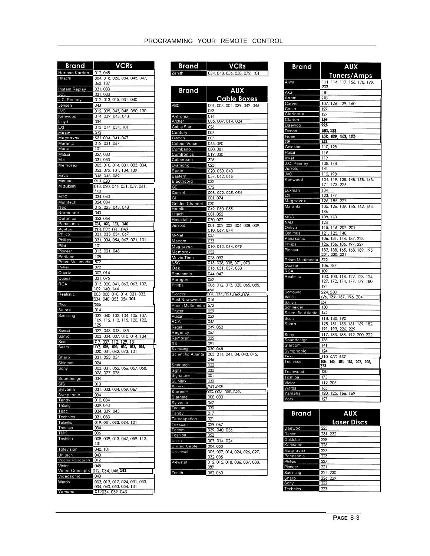| Brand                          | VCRs                                                                                   |
|--------------------------------|----------------------------------------------------------------------------------------|
|                                |                                                                                        |
| Harman Kardon                  | 012, 045<br>004, 018, 026, 034, 043, 047,                                              |
| Hitachi                        | 063, 137                                                                               |
| <b>Instant Replay</b>          | 031,033                                                                                |
| <b>JCL</b>                     | 031,033                                                                                |
| J.C. Penney                    | 012, 013, 015, 031, 040                                                                |
| Jensen                         | 043                                                                                    |
| <b>JVC</b>                     | 012, 039, 043, 048, 050, 130                                                           |
| Kenwood                        | 014, 039, 043, 048                                                                     |
| Lloyd<br>LXI                   | 034<br>013, 014, 034, 101                                                              |
| Magin                          | 040                                                                                    |
| Magnavox                       | 031, 034, 041, 047                                                                     |
| Marantz                        | 012, 031, 067                                                                          |
| Marta                          | 101                                                                                    |
| Matsui                         | 027,030                                                                                |
| Mei<br>Memorex                 | 031,033<br>003, 010, 014, 031, 033, 034,                                               |
|                                | 053, 072, 101, 134, 139                                                                |
| <b>MGA</b>                     | 045, 046, 059                                                                          |
| Minolla                        | 013,020                                                                                |
| Mitsubishi                     | 013, 020, 046, 051, 059, 061,                                                          |
| MTC                            | 142<br>034,040                                                                         |
| Multitech                      | 024, 034                                                                               |
| Nec                            | 012, 023, 043, 048                                                                     |
| Normende                       | 043                                                                                    |
| Optonica                       | 053, 054                                                                               |
| Panasonic                      | $\overline{031}$<br>070,<br>133,<br>140<br>(13, 020, 031, 063)                         |
| Pentax<br>Philco               | 031, 033, 034, 067                                                                     |
| Phillips                       | 031, 034, 054, 067, 071, 101                                                           |
| Pilot                          | 101                                                                                    |
| Pioneer                        | 013, 021, 048                                                                          |
| Portland                       | 108                                                                                    |
| Prism Multimedia 572<br>Pulsar | 072                                                                                    |
| Quartz                         | 002, 014                                                                               |
| Quasar                         | 031,075                                                                                |
| <b>RCA</b>                     | 013, 020, 041, 062, 063, 107,                                                          |
| Realistic                      | 109, 140, 144<br>003, 008, 010, 014, 031, 033,                                         |
|                                | 034, 040, 053, 054, 101                                                                |
| Rico                           | ೧೯೦೦                                                                                   |
| Salora                         | 014                                                                                    |
| Samsung                        | 032, 040, 102, 104, 105, 107,<br>109, 112, 113, 115, 120, 122,                         |
|                                | 125                                                                                    |
| Sansui                         | 022, 043, 048, 135                                                                     |
| Sanyo                          | 003, 004, 007, 010, 014, 134                                                           |
| Scott<br>Sears                 | 07, 037, 112, 129,<br>131<br>$03$ , 008,<br>009,<br>010,<br>$\overline{013}$ ,<br>014, |
|                                | 020, 031, 042, 073, 101                                                                |
| Sharp                          | 031, 053, 054                                                                          |
| Shintom                        | 024                                                                                    |
| Sony                           | 003, 031, 052, 056, 057, 058,<br>076 077 078                                           |
| Soundesign                     | 034                                                                                    |
| STS                            | 013                                                                                    |
| Sylvania                       | 031, 033, 034, 059, 067                                                                |
| Symphonic                      | 034                                                                                    |
| Tandy<br>Tatung                | 010.034<br>039, 043                                                                    |
| Teac                           | 034, 039, 043                                                                          |
| Technics                       | 031,033                                                                                |
| Teknika                        | 019, 031, 033, 034, 101                                                                |
| Thomas                         | 034                                                                                    |
| <b>TMK</b><br>Toshiba          | 006<br>008, 009, 013, 047, 059, 112,                                                   |
|                                | 131                                                                                    |
| Totevision                     | 040, 101                                                                               |
| Unitech                        | 040                                                                                    |
| Vector Research                | 012                                                                                    |
| Victor<br>Video Concepts       | 048<br>012, 034, 046, 141                                                              |
| Videosonic                     | 040                                                                                    |
| Wards                          | 003, 013, 017, 024, 031, 033,                                                          |
| Yamaha                         | 034, 040, 053, 054, 131<br>012034 039 043                                              |
|                                |                                                                                        |

| PROGRAMMING YOUR REMOTE CONTROL |  |  |
|---------------------------------|--|--|
|                                 |  |  |

Brand VCRs

| Zenith                | 034, 048, 056, 058, 072, 101                   |
|-----------------------|------------------------------------------------|
|                       |                                                |
| <b>Brand</b>          | <b>AUX</b><br><b>Cable Boxes</b>               |
| <b>ABC</b>            | 001, 003, 004, 039, 042, 046,<br>053           |
| Antronix              | 014                                            |
| Archer                | 005, 007, 014, 024                             |
| Cable Star            | 026                                            |
| Century               | 007                                            |
| Citizen               | 007                                            |
| Colour Voice          | 065,090                                        |
| Combano               | 080, 081                                       |
| Comtronics            | 019,030<br>326                                 |
| Culbertson<br>Diamond | 023                                            |
| Eagle                 | 020, 030, 040                                  |
| Eastern               | 057, 062, 066                                  |
| Electricord           | 032                                            |
| GE                    | 072                                            |
| Gemini                | 008, 022, 025, 054                             |
| GI                    | 001,074                                        |
| Golden Channel        | 030                                            |
| Hamlin                | 049, 050, 055                                  |
| Hitachi               | 001,055                                        |
| Hospitality           | 070, 077                                       |
| Jerroid               | 001, 002, 003, 004, 008, 009,<br>010, 069, 074 |
| M-Net                 | 037                                            |
| Macom                 | 033                                            |
| Magnavox              | 010, 012, 064, 079                             |
| Memorex               | 052                                            |
| Movie Time            | 028, 032                                       |
| <b>NSC</b>            | 015, 028, 038, 071, 073                        |
| Oak                   | 016, 031, 037, 053                             |
| Panasonic             | 044,047                                        |
| Paragon               | 052                                            |
| Philips               | 006, 012, 013, 020, 065, 085,<br>ဢၖ            |
| Pioneer               | 001.034.051.063.076                            |
| Post Newsweek         | 016                                            |
| Prism Multimedia 572  |                                                |
| Prucer                | 059                                            |
| Pulsar                | 052                                            |
| RCA                   | 047                                            |
| Regal<br>Regency      | 049,050<br>057                                 |
| Rembrant              | 025                                            |
| RK                    | 091                                            |
| Samsung               | 030, 068                                       |
| Scientific Atlanta    | 003, 011, 041, 04, 043, 045,                   |
|                       | 046                                            |
| Sheritech             | 022                                            |
| Signal                | 030                                            |
| Signature             | 001                                            |
| SL Marx               | 030                                            |
| Sprucer<br>Starcom    | ନ୍ୟ7 ମଫ<br><b>NN2,NN4,NWU,NW</b> 9,<br>Ц       |
| Stargate              | 008,030                                        |
| Sylvania              | 067                                            |
| Tadiran               | 030                                            |
| Tandy                 | 017                                            |
| Telecapation          | 021                                            |
| Texscan               | 029,067                                        |
| Tocom                 | 039, 040, 056                                  |
| Toshiba               | 052                                            |
| Unika                 | 007, 014, 024                                  |
| United Cable          | 004, 053                                       |
| Universal             | 005, 007, 014, 024, 026, 027,<br>032, 035      |
| Viewstar              | 012, 015, 018, 086, 087, 088,<br>089           |
| <b>Zenith</b>         | 052 060                                        |

| <b>Brand</b>            | <b>AUX</b>                                                     |
|-------------------------|----------------------------------------------------------------|
|                         | <b>Tuners/Amps</b>                                             |
| Aiwa                    | 111, 114, 117, 156, 170, 199,<br>203                           |
| Akai                    | 181                                                            |
| Anam                    | 190                                                            |
| Carver                  | 107, 126, 129, 160                                             |
| Casio                   | 127                                                            |
| Clarinette              | $\overline{127}$                                               |
| Clarion                 | 169                                                            |
| Daewoo                  | 225                                                            |
| Denon<br>Fisher         | 101, 133                                                       |
| GF                      | 107, 129, 1163, 1176<br>123                                    |
| Goldstar                | 110, 128                                                       |
| Haitai                  | 119                                                            |
| Inkel                   | 119                                                            |
| J.C. Penney             | 108, 178                                                       |
| Jerrold                 | 4                                                              |
| <b>JVC</b>              | 112, 198                                                       |
| Kenwood                 | 104, 119, 125, 148, 158, 163,                                  |
| Luxman                  | 171, 173, 226<br>134                                           |
| <b>LXI</b>              | 123, 177                                                       |
| Magnavox                | 126, 185, 227                                                  |
| Marantz                 | 105, 126, 139, 155, 162, 164,                                  |
|                         | 186                                                            |
| MCS                     | 108, 178                                                       |
| <b>NAD</b>              | 128                                                            |
| Onkyo<br>Optimus        | 115, 116, 207, 209<br>121, 125, 140                            |
| Panasonic               | 106, 131, 144, 187, 223                                        |
| Philips                 | 126, 136, 186, 197, 227                                        |
| Pioneer                 | 132, 138, 165, 168, 189, 195,                                  |
|                         | 201, 220, 221                                                  |
| Prism Multimedia 572    |                                                                |
| Quasar                  | 106, 187                                                       |
| <b>RCA</b><br>Realistic | 109                                                            |
|                         | 100, 103, 118, 122, 123, 124,<br>127, 172, 174, 177, 179, 180, |
|                         | 194                                                            |
| Samsung                 | 224, 230                                                       |
| Sansui                  | <u>1</u> 26, 139, 167, 196, 204                                |
| Sanyo<br>Schneider      | 157<br>130                                                     |
| Scientific Atlanta      | 142                                                            |
| Scott                   | 118, 180, 190                                                  |
| Sharp                   | 125, 151, 158, 161, 169, 182,                                  |
|                         | 191, 193, 226, 229                                             |
| Sony                    | 117, 183, 188, 192, 200, 222                                   |
| Soundesign              | 135                                                            |
| Starcom                 | 141                                                            |
| Symphonic               | 124                                                            |
| Teac<br>Technics        | 118 UC 100<br>106,<br>145, 184, 187, 202, 208.                 |
|                         | 773                                                            |
| Techwood                | 130                                                            |
| Toshiba                 | 175                                                            |
| Victor                  | 112, 205                                                       |
| Wards<br>Yamaha         | 163<br>120, 125, 166, 169                                      |
| Yorx                    | 127                                                            |
|                         |                                                                |

| <b>Brand</b> | <b>AUX</b>         |
|--------------|--------------------|
|              | <b>Laser Discs</b> |
| Daewoo       | 225                |
| Denon        | 231, 232           |
| Goldstar     | 228                |
| Kenwood      | 226                |
| Magnavox     | 227                |
| Panasonic    | 223                |
| Philips      | 227                |
| Pioneer      | 221                |
| Samsung      | 224.230            |
| Sharp        | 226, 229           |
| Sony         | 222                |
| Technics     | 223                |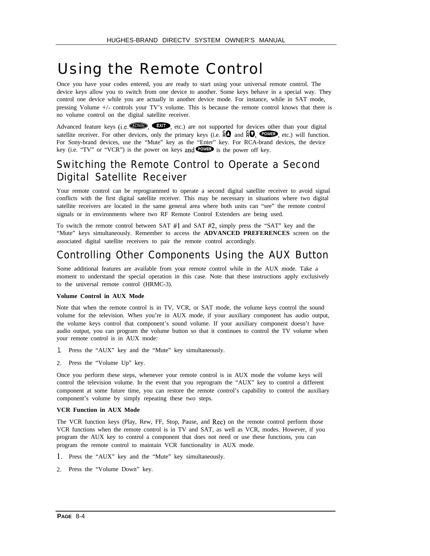## Using the Remote Control

Once you have your codes entered, you are ready to start using your universal remote control. The device keys allow you to switch from one device to another. Some keys behave in a special way. They control one device while you are actually in another device mode. For instance, while in SAT mode, pressing Volume +/- controls your TV's volume. This is because the remote control knows that there is no volume control on the digital satellite receiver.

Advanced feature keys (i.e.  $\square$ ), etc.) are not supported for devices other than your digital satellite receiver. For other devices, only the primary keys (i.e.  $\Theta$  and  $\Theta$ ,  $\widehat{\Theta}$ ,  $\widehat{\Theta}$ ), etc.) will function. For Sony-brand devices, use the "Mute" key as the "Enter" key. For RCA-brand devices, the device key (i.e. "TV" or "VCR") is the power on keys and  $\bullet$  is the power off key.

### Switching the Remote Control to Operate a Second Digital Satellite Receiver

Your remote control can be reprogrammed to operate a second digital satellite receiver to avoid signal conflicts with the first digital satellite receiver. This may be necessary in situations where two digital satellite receivers are located in the same general area where both units can "see" the remote control signals or in environments where two RF Remote Control Extenders are being used.

To switch the remote control between SAT #l and SAT #2, simply press the "SAT" key and the "Mute" keys simultaneously. Remember to access the **ADVANCED PREFERENCES** screen on the associated digital satellite receivers to pair the remote control accordingly.

### Controlling Other Components Using the AUX Button

Some additional features are available from your remote control while in the AUX mode. Take a moment to understand the special operation in this case. Note that these instructions apply exclusively to the universal remote control (HRMC-3).

#### **Volume Control in AUX Mode**

Note that when the remote control is in TV, VCR, or SAT mode, the volume keys control the sound volume for the television. When you're in AUX mode, if your auxiliary component has audio output, the volume keys control that component's sound volume. If your auxiliary component doesn't have audio output, you can program the volume button so that it continues to control the TV volume when your remote control is in AUX mode:

- 1. Press the "AUX" key and the "Mute" key simultaneously.
- 2. Press the "Volume Up" key.

Once you perform these steps, whenever your remote control is in AUX mode the volume keys will control the television volume. In the event that you reprogram the "AUX" key to control a different component at some future time, you can restore the remote control's capability to control the auxiliary component's volume by simply repeating these two steps.

#### **VCR Function in AUX Mode**

The VCR function keys (Play, Rew, FF, Stop, Pause, and Rec) on the remote control perform those VCR functions when the remote control is in TV and SAT, as well as VCR, modes. However, if you program the AUX key to control a component that does not need or use these functions, you can program the remote control to maintain VCR functionality in AUX mode.

- 1. Press the "AUX" key and the "Mute" key simultaneously.
- 2. Press the "Volume Down" key.